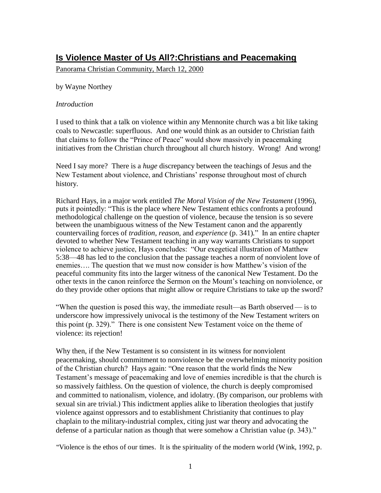# **Is Violence Master of Us All?:Christians and Peacemaking**

Panorama Christian Community, March 12, 2000

by Wayne Northey

### *Introduction*

I used to think that a talk on violence within any Mennonite church was a bit like taking coals to Newcastle: superfluous. And one would think as an outsider to Christian faith that claims to follow the "Prince of Peace" would show massively in peacemaking initiatives from the Christian church throughout all church history. Wrong! And wrong!

Need I say more? There is a *huge* discrepancy between the teachings of Jesus and the New Testament about violence, and Christians' response throughout most of church history.

Richard Hays, in a major work entitled *The Moral Vision of the New Testament* (1996), puts it pointedly: "This is the place where New Testament ethics confronts a profound methodological challenge on the question of violence, because the tension is so severe between the unambiguous witness of the New Testament canon and the apparently countervailing forces of *tradition, reason,* and *experience* (p. 341)*.*" In an entire chapter devoted to whether New Testament teaching in any way warrants Christians to support violence to achieve justice, Hays concludes: "Our exegetical illustration of Matthew 5:38—48 has led to the conclusion that the passage teaches a norm of nonviolent love of enemies…. The question that we must now consider is how Matthew's vision of the peaceful community fits into the larger witness of the canonical New Testament. Do the other texts in the canon reinforce the Sermon on the Mount's teaching on nonviolence, or do they provide other options that might allow or require Christians to take up the sword?

"When the question is posed this way, the immediate result—as Barth observed — is to underscore how impressively univocal is the testimony of the New Testament writers on this point (p. 329)." There is one consistent New Testament voice on the theme of violence: its rejection!

Why then, if the New Testament is so consistent in its witness for nonviolent peacemaking, should commitment to nonviolence be the overwhelming minority position of the Christian church? Hays again: "One reason that the world finds the New Testament's message of peacemaking and love of enemies incredible is that the church is so massively faithless. On the question of violence, the church is deeply compromised and committed to nationalism, violence, and idolatry. (By comparison, our problems with sexual sin are trivial.) This indictment applies alike to liberation theologies that justify violence against oppressors and to establishment Christianity that continues to play chaplain to the military-industrial complex, citing just war theory and advocating the defense of a particular nation as though that were somehow a Christian value (p. 343)."

''Violence is the ethos of our times. It is the spirituality of the modern world (Wink, 1992, p.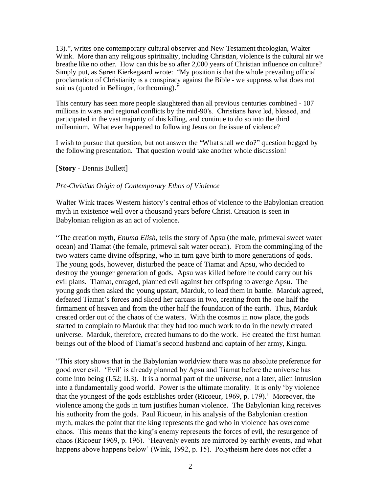13).'', writes one contemporary cultural observer and New Testament theologian, Walter Wink. More than any religious spirituality, including Christian, violence is the cultural air we breathe like no other. How can this be so after 2,000 years of Christian influence on culture? Simply put, as Søren Kierkegaard wrote: ''My position is that the whole prevailing official proclamation of Christianity is a conspiracy against the Bible - we suppress what does not suit us (quoted in Bellinger, forthcoming).''

This century has seen more people slaughtered than all previous centuries combined - 107 millions in wars and regional conflicts by the mid-90's. Christians have led, blessed, and participated in the vast majority of this killing, and continue to do so into the third millennium. What ever happened to following Jesus on the issue of violence?

I wish to pursue that question, but not answer the ''What shall we do?'' question begged by the following presentation. That question would take another whole discussion!

# [**Story** - Dennis Bullett]

### *Pre-Christian Origin of Contemporary Ethos of Violence*

Walter Wink traces Western history's central ethos of violence to the Babylonian creation myth in existence well over a thousand years before Christ. Creation is seen in Babylonian religion as an act of violence.

"The creation myth, *Enuma Elish*, tells the story of Apsu (the male, primeval sweet water ocean) and Tiamat (the female, primeval salt water ocean). From the commingling of the two waters came divine offspring, who in turn gave birth to more generations of gods. The young gods, however, disturbed the peace of Tiamat and Apsu, who decided to destroy the younger generation of gods. Apsu was killed before he could carry out his evil plans. Tiamat, enraged, planned evil against her offspring to avenge Apsu. The young gods then asked the young upstart, Marduk, to lead them in battle. Marduk agreed, defeated Tiamat's forces and sliced her carcass in two, creating from the one half the firmament of heaven and from the other half the foundation of the earth. Thus, Marduk created order out of the chaos of the waters. With the cosmos in now place, the gods started to complain to Marduk that they had too much work to do in the newly created universe. Marduk, therefore, created humans to do the work. He created the first human beings out of the blood of Tiamat's second husband and captain of her army, Kingu.

"This story shows that in the Babylonian worldview there was no absolute preference for good over evil. 'Evil' is already planned by Apsu and Tiamat before the universe has come into being (I.52; II.3). It is a normal part of the universe, not a later, alien intrusion into a fundamentally good world. Power is the ultimate morality. It is only 'by violence that the youngest of the gods establishes order (Ricoeur, 1969, p. 179).' Moreover, the violence among the gods in turn justifies human violence. The Babylonian king receives his authority from the gods. Paul Ricoeur, in his analysis of the Babylonian creation myth, makes the point that the king represents the god who in violence has overcome chaos. This means that the king's enemy represents the forces of evil, the resurgence of chaos (Ricoeur 1969, p. 196). 'Heavenly events are mirrored by earthly events, and what happens above happens below' (Wink, 1992, p. 15). Polytheism here does not offer a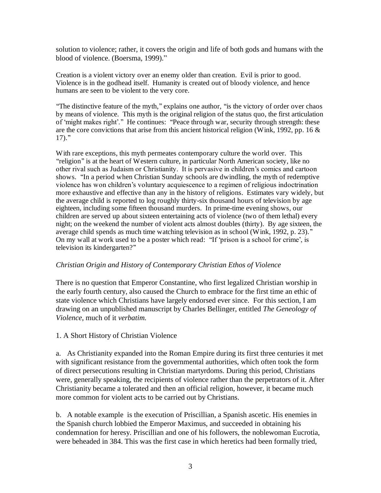solution to violence; rather, it covers the origin and life of both gods and humans with the blood of violence. (Boersma, 1999)."

Creation is a violent victory over an enemy older than creation. Evil is prior to good. Violence is in the godhead itself. Humanity is created out of bloody violence, and hence humans are seen to be violent to the very core.

''The distinctive feature of the myth,'' explains one author, ''is the victory of order over chaos by means of violence. This myth is the original religion of the status quo, the first articulation of 'might makes right'.'' He continues: ''Peace through war, security through strength: these are the core convictions that arise from this ancient historical religion (Wink, 1992, pp. 16  $\&$  $17)$ ."

With rare exceptions, this myth permeates contemporary culture the world over. This ''religion'' is at the heart of Western culture, in particular North American society, like no other rival such as Judaism or Christianity. It is pervasive in children's comics and cartoon shows. ''In a period when Christian Sunday schools are dwindling, the myth of redemptive violence has won children's voluntary acquiescence to a regimen of religious indoctrination more exhaustive and effective than any in the history of religions. Estimates vary widely, but the average child is reported to log roughly thirty-six thousand hours of television by age eighteen, including some fifteen thousand murders. In prime-time evening shows, our children are served up about sixteen entertaining acts of violence (two of them lethal) every night; on the weekend the number of violent acts almost doubles (thirty). By age sixteen, the average child spends as much time watching television as in school (Wink, 1992, p. 23).'' On my wall at work used to be a poster which read: ''If 'prison is a school for crime', is television its kindergarten?''

# *Christian Origin and History of Contemporary Christian Ethos of Violence*

There is no question that Emperor Constantine, who first legalized Christian worship in the early fourth century, also caused the Church to embrace for the first time an ethic of state violence which Christians have largely endorsed ever since. For this section, I am drawing on an unpublished manuscript by Charles Bellinger, entitled *The Geneology of Violence*, much of it *verbatim.*

1. A Short History of Christian Violence

a. As Christianity expanded into the Roman Empire during its first three centuries it met with significant resistance from the governmental authorities, which often took the form of direct persecutions resulting in Christian martyrdoms. During this period, Christians were, generally speaking, the recipients of violence rather than the perpetrators of it. After Christianity became a tolerated and then an official religion, however, it became much more common for violent acts to be carried out by Christians.

b. A notable example is the execution of Priscillian, a Spanish ascetic. His enemies in the Spanish church lobbied the Emperor Maximus, and succeeded in obtaining his condemnation for heresy. Priscillian and one of his followers, the noblewoman Eucrotia, were beheaded in 384. This was the first case in which heretics had been formally tried,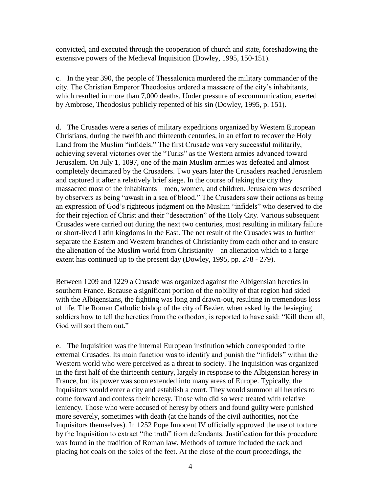convicted, and executed through the cooperation of church and state, foreshadowing the extensive powers of the Medieval Inquisition (Dowley, 1995, 150-151).

c. In the year 390, the people of Thessalonica murdered the military commander of the city. The Christian Emperor Theodosius ordered a massacre of the city's inhabitants, which resulted in more than 7,000 deaths. Under pressure of excommunication, exerted by Ambrose, Theodosius publicly repented of his sin (Dowley, 1995, p. 151).

d. The Crusades were a series of military expeditions organized by Western European Christians, during the twelfth and thirteenth centuries, in an effort to recover the Holy Land from the Muslim "infidels." The first Crusade was very successful militarily, achieving several victories over the "Turks" as the Western armies advanced toward Jerusalem. On July 1, 1097, one of the main Muslim armies was defeated and almost completely decimated by the Crusaders. Two years later the Crusaders reached Jerusalem and captured it after a relatively brief siege. In the course of taking the city they massacred most of the inhabitants—men, women, and children. Jerusalem was described by observers as being "awash in a sea of blood." The Crusaders saw their actions as being an expression of God's righteous judgment on the Muslim "infidels" who deserved to die for their rejection of Christ and their "desecration" of the Holy City. Various subsequent Crusades were carried out during the next two centuries, most resulting in military failure or short-lived Latin kingdoms in the East. The net result of the Crusades was to further separate the Eastern and Western branches of Christianity from each other and to ensure the alienation of the Muslim world from Christianity—an alienation which to a large extent has continued up to the present day (Dowley, 1995, pp. 278 - 279).

Between 1209 and 1229 a Crusade was organized against the Albigensian heretics in southern France. Because a significant portion of the nobility of that region had sided with the Albigensians, the fighting was long and drawn-out, resulting in tremendous loss of life. The Roman Catholic bishop of the city of Bezier, when asked by the besieging soldiers how to tell the heretics from the orthodox, is reported to have said: "Kill them all, God will sort them out."

e. The Inquisition was the internal European institution which corresponded to the external Crusades. Its main function was to identify and punish the "infidels" within the Western world who were perceived as a threat to society. The Inquisition was organized in the first half of the thirteenth century, largely in response to the Albigensian heresy in France, but its power was soon extended into many areas of Europe. Typically, the Inquisitors would enter a city and establish a court. They would summon all heretics to come forward and confess their heresy. Those who did so were treated with relative leniency. Those who were accused of heresy by others and found guilty were punished more severely, sometimes with death (at the hands of the civil authorities, not the Inquisitors themselves). In 1252 Pope Innocent IV officially approved the use of torture by the Inquisition to extract "the truth" from defendants. Justification for this procedure was found in the tradition of Roman law. Methods of torture included the rack and placing hot coals on the soles of the feet. At the close of the court proceedings, the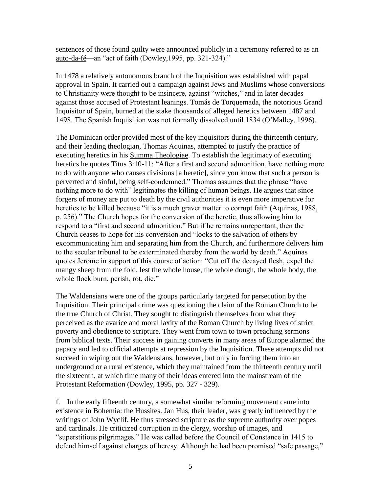sentences of those found guilty were announced publicly in a ceremony referred to as an auto-da-fé—an "act of faith (Dowley,1995, pp. 321-324)."

In 1478 a relatively autonomous branch of the Inquisition was established with papal approval in Spain. It carried out a campaign against Jews and Muslims whose conversions to Christianity were thought to be insincere, against "witches," and in later decades against those accused of Protestant leanings. Tomás de Torquemada, the notorious Grand Inquisitor of Spain, burned at the stake thousands of alleged heretics between 1487 and 1498. The Spanish Inquisition was not formally dissolved until 1834 (O'Malley, 1996).

The Dominican order provided most of the key inquisitors during the thirteenth century, and their leading theologian, Thomas Aquinas, attempted to justify the practice of executing heretics in his Summa Theologiae. To establish the legitimacy of executing heretics he quotes Titus 3:10-11: "After a first and second admonition, have nothing more to do with anyone who causes divisions [a heretic], since you know that such a person is perverted and sinful, being self-condemned." Thomas assumes that the phrase "have nothing more to do with" legitimates the killing of human beings. He argues that since forgers of money are put to death by the civil authorities it is even more imperative for heretics to be killed because "it is a much graver matter to corrupt faith (Aquinas, 1988, p. 256)." The Church hopes for the conversion of the heretic, thus allowing him to respond to a "first and second admonition." But if he remains unrepentant, then the Church ceases to hope for his conversion and "looks to the salvation of others by excommunicating him and separating him from the Church, and furthermore delivers him to the secular tribunal to be exterminated thereby from the world by death." Aquinas quotes Jerome in support of this course of action: "Cut off the decayed flesh, expel the mangy sheep from the fold, lest the whole house, the whole dough, the whole body, the whole flock burn, perish, rot, die."

The Waldensians were one of the groups particularly targeted for persecution by the Inquisition. Their principal crime was questioning the claim of the Roman Church to be the true Church of Christ. They sought to distinguish themselves from what they perceived as the avarice and moral laxity of the Roman Church by living lives of strict poverty and obedience to scripture. They went from town to town preaching sermons from biblical texts. Their success in gaining converts in many areas of Europe alarmed the papacy and led to official attempts at repression by the Inquisition. These attempts did not succeed in wiping out the Waldensians, however, but only in forcing them into an underground or a rural existence, which they maintained from the thirteenth century until the sixteenth, at which time many of their ideas entered into the mainstream of the Protestant Reformation (Dowley, 1995, pp. 327 - 329).

f. In the early fifteenth century, a somewhat similar reforming movement came into existence in Bohemia: the Hussites. Jan Hus, their leader, was greatly influenced by the writings of John Wyclif. He thus stressed scripture as the supreme authority over popes and cardinals. He criticized corruption in the clergy, worship of images, and "superstitious pilgrimages." He was called before the Council of Constance in 1415 to defend himself against charges of heresy. Although he had been promised "safe passage,"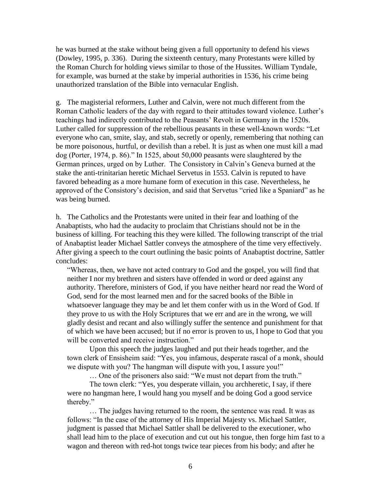he was burned at the stake without being given a full opportunity to defend his views (Dowley, 1995, p. 336). During the sixteenth century, many Protestants were killed by the Roman Church for holding views similar to those of the Hussites. William Tyndale, for example, was burned at the stake by imperial authorities in 1536, his crime being unauthorized translation of the Bible into vernacular English.

g. The magisterial reformers, Luther and Calvin, were not much different from the Roman Catholic leaders of the day with regard to their attitudes toward violence. Luther's teachings had indirectly contributed to the Peasants' Revolt in Germany in the 1520s. Luther called for suppression of the rebellious peasants in these well-known words: "Let everyone who can, smite, slay, and stab, secretly or openly, remembering that nothing can be more poisonous, hurtful, or devilish than a rebel. It is just as when one must kill a mad dog (Porter, 1974, p. 86)." In 1525, about 50,000 peasants were slaughtered by the German princes, urged on by Luther. The Consistory in Calvin's Geneva burned at the stake the anti-trinitarian heretic Michael Servetus in 1553. Calvin is reputed to have favored beheading as a more humane form of execution in this case. Nevertheless, he approved of the Consistory's decision, and said that Servetus "cried like a Spaniard" as he was being burned.

h. The Catholics and the Protestants were united in their fear and loathing of the Anabaptists, who had the audacity to proclaim that Christians should not be in the business of killing. For teaching this they were killed. The following transcript of the trial of Anabaptist leader Michael Sattler conveys the atmosphere of the time very effectively. After giving a speech to the court outlining the basic points of Anabaptist doctrine, Sattler concludes:

"Whereas, then, we have not acted contrary to God and the gospel, you will find that neither I nor my brethren and sisters have offended in word or deed against any authority. Therefore, ministers of God, if you have neither heard nor read the Word of God, send for the most learned men and for the sacred books of the Bible in whatsoever language they may be and let them confer with us in the Word of God. If they prove to us with the Holy Scriptures that we err and are in the wrong, we will gladly desist and recant and also willingly suffer the sentence and punishment for that of which we have been accused; but if no error is proven to us, I hope to God that you will be converted and receive instruction."

Upon this speech the judges laughed and put their heads together, and the town clerk of Ensisheim said: "Yes, you infamous, desperate rascal of a monk, should we dispute with you? The hangman will dispute with you, I assure you!"

… One of the prisoners also said: "We must not depart from the truth."

The town clerk: "Yes, you desperate villain, you archheretic, I say, if there were no hangman here, I would hang you myself and be doing God a good service thereby."

… The judges having returned to the room, the sentence was read. It was as follows: "In the case of the attorney of His Imperial Majesty vs. Michael Sattler, judgment is passed that Michael Sattler shall be delivered to the executioner, who shall lead him to the place of execution and cut out his tongue, then forge him fast to a wagon and thereon with red-hot tongs twice tear pieces from his body; and after he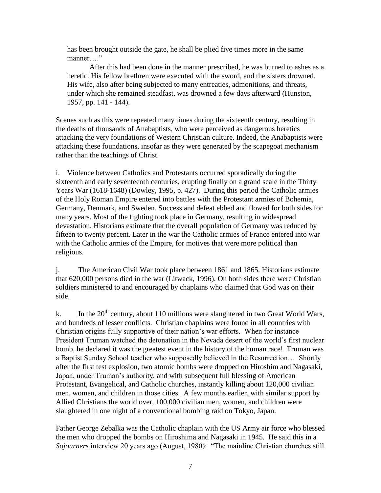has been brought outside the gate, he shall be plied five times more in the same manner…."

After this had been done in the manner prescribed, he was burned to ashes as a heretic. His fellow brethren were executed with the sword, and the sisters drowned. His wife, also after being subjected to many entreaties, admonitions, and threats, under which she remained steadfast, was drowned a few days afterward (Hunston, 1957, pp. 141 - 144).

Scenes such as this were repeated many times during the sixteenth century, resulting in the deaths of thousands of Anabaptists, who were perceived as dangerous heretics attacking the very foundations of Western Christian culture. Indeed, the Anabaptists were attacking these foundations, insofar as they were generated by the scapegoat mechanism rather than the teachings of Christ.

i. Violence between Catholics and Protestants occurred sporadically during the sixteenth and early seventeenth centuries, erupting finally on a grand scale in the Thirty Years War (1618-1648) (Dowley, 1995, p. 427). During this period the Catholic armies of the Holy Roman Empire entered into battles with the Protestant armies of Bohemia, Germany, Denmark, and Sweden. Success and defeat ebbed and flowed for both sides for many years. Most of the fighting took place in Germany, resulting in widespread devastation. Historians estimate that the overall population of Germany was reduced by fifteen to twenty percent. Later in the war the Catholic armies of France entered into war with the Catholic armies of the Empire, for motives that were more political than religious.

j. The American Civil War took place between 1861 and 1865. Historians estimate that 620,000 persons died in the war (Litwack, 1996). On both sides there were Christian soldiers ministered to and encouraged by chaplains who claimed that God was on their side.

k. In the  $20<sup>th</sup>$  century, about 110 millions were slaughtered in two Great World Wars, and hundreds of lesser conflicts. Christian chaplains were found in all countries with Christian origins fully supportive of their nation's war efforts. When for instance President Truman watched the detonation in the Nevada desert of the world's first nuclear bomb, he declared it was the greatest event in the history of the human race! Truman was a Baptist Sunday School teacher who supposedly believed in the Resurrection… Shortly after the first test explosion, two atomic bombs were dropped on Hiroshim and Nagasaki, Japan, under Truman's authority, and with subsequent full blessing of American Protestant, Evangelical, and Catholic churches, instantly killing about 120,000 civilian men, women, and children in those cities. A few months earlier, with similar support by Allied Christians the world over, 100,000 civilian men, women, and children were slaughtered in one night of a conventional bombing raid on Tokyo, Japan.

Father George Zebalka was the Catholic chaplain with the US Army air force who blessed the men who dropped the bombs on Hiroshima and Nagasaki in 1945. He said this in a *Sojourners* interview 20 years ago (August, 1980): "The mainline Christian churches still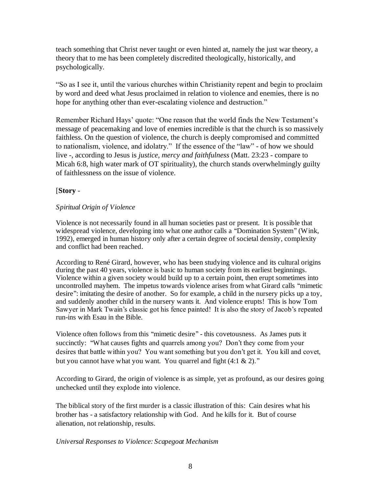teach something that Christ never taught or even hinted at, namely the just war theory, a theory that to me has been completely discredited theologically, historically, and psychologically.

"So as I see it, until the various churches within Christianity repent and begin to proclaim by word and deed what Jesus proclaimed in relation to violence and enemies, there is no hope for anything other than ever-escalating violence and destruction."

Remember Richard Hays' quote: "One reason that the world finds the New Testament's message of peacemaking and love of enemies incredible is that the church is so massively faithless. On the question of violence, the church is deeply compromised and committed to nationalism, violence, and idolatry." If the essence of the "law" - of how we should live -, according to Jesus is *justice, mercy and faithfulness* (Matt. 23:23 - compare to Micah 6:8, high water mark of OT spirituality), the church stands overwhelmingly guilty of faithlessness on the issue of violence.

# [**Story** -

# *Spiritual Origin of Violence*

Violence is not necessarily found in all human societies past or present. It is possible that widespread violence, developing into what one author calls a "Domination System" (Wink, 1992), emerged in human history only after a certain degree of societal density, complexity and conflict had been reached.

According to René Girard, however, who has been studying violence and its cultural origins during the past 40 years, violence is basic to human society from its earliest beginnings. Violence within a given society would build up to a certain point, then erupt sometimes into uncontrolled mayhem. The impetus towards violence arises from what Girard calls ''mimetic desire'': imitating the desire of another. So for example, a child in the nursery picks up a toy, and suddenly another child in the nursery wants it. And violence erupts! This is how Tom Sawyer in Mark Twain's classic got his fence painted! It is also the story of Jacob's repeated run-ins with Esau in the Bible.

Violence often follows from this ''mimetic desire'' - this covetousness. As James puts it succinctly: ''What causes fights and quarrels among you? Don't they come from your desires that battle within you? You want something but you don't get it. You kill and covet, but you cannot have what you want. You quarrel and fight (4:1 & 2)."

According to Girard, the origin of violence is as simple, yet as profound, as our desires going unchecked until they explode into violence.

The biblical story of the first murder is a classic illustration of this: Cain desires what his brother has - a satisfactory relationship with God. And he kills for it. But of course alienation, not relationship, results.

# *Universal Responses to Violence: Scapegoat Mechanism*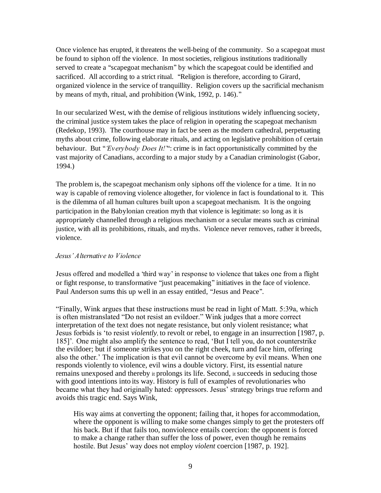Once violence has erupted, it threatens the well-being of the community. So a scapegoat must be found to siphon off the violence. In most societies, religious institutions traditionally served to create a ''scapegoat mechanism'' by which the scapegoat could be identified and sacrificed. All according to a strict ritual. "Religion is therefore, according to Girard, organized violence in the service of tranquillity. Religion covers up the sacrificial mechanism by means of myth, ritual, and prohibition (Wink, 1992, p. 146).''

In our secularized West, with the demise of religious institutions widely influencing society, the criminal justice system takes the place of religion in operating the scapegoat mechanism (Redekop, 1993). The courthouse may in fact be seen as the modern cathedral, perpetuating myths about crime, following elaborate rituals, and acting on legislative prohibition of certain behaviour. But "*Everybody Does It!*": crime is in fact opportunistically committed by the vast majority of Canadians, according to a major study by a Canadian criminologist (Gabor, 1994.)

The problem is, the scapegoat mechanism only siphons off the violence for a time. It in no way is capable of removing violence altogether, for violence in fact is foundational to it. This is the dilemma of all human cultures built upon a scapegoat mechanism. It is the ongoing participation in the Babylonian creation myth that violence is legitimate: so long as it is appropriately channelled through a religious mechanism or a secular means such as criminal justice, with all its prohibitions, rituals, and myths. Violence never removes, rather it breeds, violence.

# *Jesus' Alternative to Violence*

Jesus offered and modelled a 'third way' in response to violence that takes one from a flight or fight response, to transformative ''just peacemaking'' initiatives in the face of violence. Paul Anderson sums this up well in an essay entitled, ''Jesus and Peace''.

"Finally, Wink argues that these instructions must be read in light of Matt. 5:39a, which is often mistranslated "Do not resist an evildoer." Wink judges that a more correct interpretation of the text does not negate resistance, but only violent resistance; what Jesus forbids is 'to resist *violently,* to revolt or rebel, to engage in an insurrection [1987, p. 185]'*.* One might also amplify the sentence to read, 'But I tell you, do not counterstrike the evildoer; but if someone strikes you on the right cheek, turn and face him, offering also the other.' The implication is that evil cannot be overcome by evil means. When one responds violently to violence, evil wins a double victory. First, its essential nature remains unexposed and thereby it prolongs its life. Second, it succeeds in seducing those with good intentions into its way. History is full of examples of revolutionaries who became what they had originally hated: oppressors. Jesus' strategy brings true reform and avoids this tragic end. Says Wink,

His way aims at converting the opponent; failing that, it hopes for accommodation, where the opponent is willing to make some changes simply to get the protesters off his back. But if that fails too, nonviolence entails coercion: the opponent is forced to make a change rather than suffer the loss of power, even though he remains hostile. But Jesus' way does not employ *violent* coercion [1987, p. 192].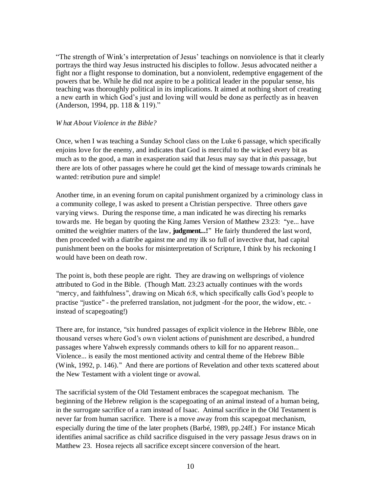"The strength of Wink's interpretation of Jesus' teachings on nonviolence is that it clearly portrays the third way Jesus instructed his disciples to follow. Jesus advocated neither a fight nor a flight response to domination, but a nonviolent, redemptive engagement of the powers that be. While he did not aspire to be a political leader in the popular sense, his teaching was thoroughly political in its implications. It aimed at nothing short of creating a new earth in which God's just and loving will would be done as perfectly as in heaven (Anderson, 1994, pp. 118 & 119)."

#### *W hat About Violence in the Bible?*

Once, when I was teaching a Sunday School class on the Luke 6 passage, which specifically enjoins love for the enemy, and indicates that God is merciful to the wicked every bit as much as to the good, a man in exasperation said that Jesus may say that in *this* passage, but there are lots of other passages where he could get the kind of message towards criminals he wanted: retribution pure and simple!

Another time, in an evening forum on capital punishment organized by a criminology class in a community college, I was asked to present a Christian perspective. Three others gave varying views. During the response time, a man indicated he was directing his remarks towards me. He began by quoting the King James Version of Matthew 23:23: ''ye... have omitted the weightier matters of the law, judgment...!" He fairly thundered the last word, then proceeded with a diatribe against me and my ilk so full of invective that, had capital punishment been on the books for misinterpretation of Scripture, I think by his reckoning I would have been on death row.

The point is, both these people are right. They are drawing on wellsprings of violence attributed to God in the Bible. (Though Matt. 23:23 actually continues with the words "mercy, and faithfulness", drawing on Micah 6:8, which specifically calls God's people to practise "justice" - the preferred translation, not judgment -for the poor, the widow, etc. instead of scapegoating!)

There are, for instance, "six hundred passages of explicit violence in the Hebrew Bible, one thousand verses where God's own violent actions of punishment are described, a hundred passages where Yahweh expressly commands others to kill for no apparent reason... Violence... is easily the most mentioned activity and central theme of the Hebrew Bible (Wink, 1992, p. 146).'' And there are portions of Revelation and other texts scattered about the New Testament with a violent tinge or avowal.

The sacrificial system of the Old Testament embraces the scapegoat mechanism. The beginning of the Hebrew religion is the scapegoating of an animal instead of a human being, in the surrogate sacrifice of a ram instead of Isaac. Animal sacrifice in the Old Testament is never far from human sacrifice. There is a move away from this scapegoat mechanism, especially during the time of the later prophets (Barbé, 1989, pp.24ff.) For instance Micah identifies animal sacrifice as child sacrifice disguised in the very passage Jesus draws on in Matthew 23. Hosea rejects all sacrifice except sincere conversion of the heart.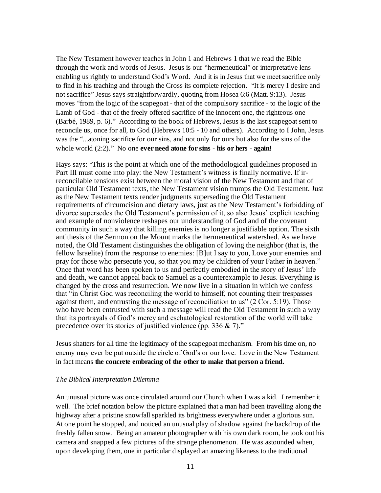The New Testament however teaches in John 1 and Hebrews 1 that we read the Bible through the work and words of Jesus. Jesus is our ''hermeneutical'' or interpretative lens enabling us rightly to understand God's Word. And it is in Jesus that we meet sacrifice only to find in his teaching and through the Cross its complete rejection. ''It is mercy I desire and not sacrifice'' Jesus says straightforwardly, quoting from Hosea 6:6 (Matt. 9:13). Jesus moves "from the logic of the scapegoat - that of the compulsory sacrifice - to the logic of the Lamb of God - that of the freely offered sacrifice of the innocent one, the righteous one (Barbé, 1989, p. 6).'' According to the book of Hebrews, Jesus is the last scapegoat sent to reconcile us, once for all, to God (Hebrews 10:5 - 10 and others). According to I John, Jesus was the ''...atoning sacrifice for our sins, and not only for ours but also for the sins of the whole world (2:2).'' No one **ever need atone for sins - his or hers - again!**

Hays says: ''This is the point at which one of the methodological guidelines proposed in Part III must come into play: the New Testament's witness is finally normative. If irreconcilable tensions exist between the moral vision of the New Testament and that of particular Old Testament texts, the New Testament vision trumps the Old Testament. Just as the New Testament texts render judgments superseding the Old Testament requirements of circumcision and dietary laws, just as the New Testament's forbidding of divorce supersedes the Old Testament's permission of it, so also Jesus' explicit teaching and example of nonviolence reshapes our understanding of God and of the covenant community in such a way that killing enemies is no longer a justifiable option. The sixth antithesis of the Sermon on the Mount marks the hermeneutical watershed. As we have noted, the Old Testament distinguishes the obligation of loving the neighbor (that is, the fellow Israelite) from the response to enemies: [B]ut I say to you, Love your enemies and pray for those who persecute you, so that you may be children of your Father in heaven." Once that word has been spoken to us and perfectly embodied in the story of Jesus' life and death, we cannot appeal back to Samuel as a counterexample to Jesus. Everything is changed by the cross and resurrection. We now live in a situation in which we confess that "in Christ God was reconciling the world to himself, not counting their trespasses against them, and entrusting the message of reconciliation to us" (2 Cor. 5:19). Those who have been entrusted with such a message will read the Old Testament in such a way that its portrayals of God's mercy and eschatological restoration of the world will take precedence over its stories of justified violence (pp. 336 & 7)."

Jesus shatters for all time the legitimacy of the scapegoat mechanism. From his time on, no enemy may ever be put outside the circle of God's or our love. Love in the New Testament in fact means **the concrete embracing of the other to make that person a friend.**

#### *The Biblical Interpretation Dilemma*

An unusual picture was once circulated around our Church when I was a kid. I remember it well. The brief notation below the picture explained that a man had been travelling along the highway after a pristine snowfall sparkled its brightness everywhere under a glorious sun. At one point he stopped, and noticed an unusual play of shadow against the backdrop of the freshly fallen snow. Being an amateur photographer with his own dark room, he took out his camera and snapped a few pictures of the strange phenomenon. He was astounded when, upon developing them, one in particular displayed an amazing likeness to the traditional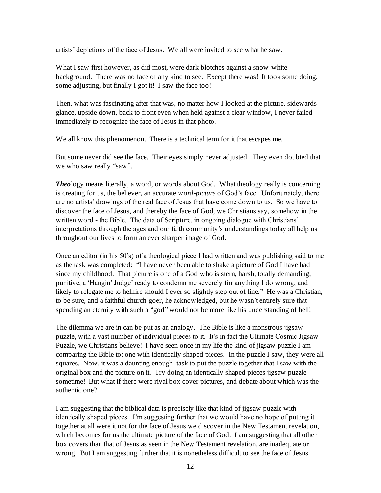artists' depictions of the face of Jesus. We all were invited to see what he saw.

What I saw first however, as did most, were dark blotches against a snow-white background. There was no face of any kind to see. Except there was! It took some doing, some adjusting, but finally I got it! I saw the face too!

Then, what was fascinating after that was, no matter how I looked at the picture, sidewards glance, upside down, back to front even when held against a clear window, I never failed immediately to recognize the face of Jesus in that photo.

We all know this phenomenon. There is a technical term for it that escapes me.

But some never did see the face. Their eyes simply never adjusted. They even doubted that we who saw really "saw".

*Theology means literally, a word, or words about God. What theology really is concerning* is creating for us, the believer, an accurate *word-picture* of God's face. Unfortunately, there are no artists' drawings of the real face of Jesus that have come down to us. So we have to discover the face of Jesus, and thereby the face of God, we Christians say, somehow in the written word - the Bible. The data of Scripture, in ongoing dialogue with Christians' interpretations through the ages and our faith community's understandings today all help us throughout our lives to form an ever sharper image of God.

Once an editor (in his 50's) of a theological piece I had written and was publishing said to me as the task was completed: ''I have never been able to shake a picture of God I have had since my childhood. That picture is one of a God who is stern, harsh, totally demanding, punitive, a 'Hangin' Judge' ready to condemn me severely for anything I do wrong, and likely to relegate me to hellfire should I ever so slightly step out of line.'' He was a Christian, to be sure, and a faithful church-goer, he acknowledged, but he wasn't entirely sure that spending an eternity with such a "god" would not be more like his understanding of hell!

The dilemma we are in can be put as an analogy. The Bible is like a monstrous jigsaw puzzle, with a vast number of individual pieces to it. It's in fact the Ultimate Cosmic Jigsaw Puzzle, we Christians believe! I have seen once in my life the kind of jigsaw puzzle I am comparing the Bible to: one with identically shaped pieces. In the puzzle I saw, they were all squares. Now, it was a daunting enough task to put the puzzle together that I saw with the original box and the picture on it. Try doing an identically shaped pieces jigsaw puzzle sometime! But what if there were rival box cover pictures, and debate about which was the authentic one?

I am suggesting that the biblical data is precisely like that kind of jigsaw puzzle with identically shaped pieces. I'm suggesting further that we would have no hope of putting it together at all were it not for the face of Jesus we discover in the New Testament revelation, which becomes for us the ultimate picture of the face of God. I am suggesting that all other box covers than that of Jesus as seen in the New Testament revelation, are inadequate or wrong. But I am suggesting further that it is nonetheless difficult to see the face of Jesus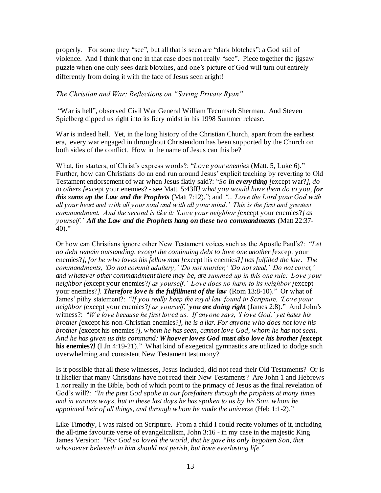properly. For some they "see", but all that is seen are "dark blotches": a God still of violence. And I think that one in that case does not really ''see''. Piece together the jigsaw puzzle when one only sees dark blotches, and one's picture of God will turn out entirely differently from doing it with the face of Jesus seen aright!

#### *The Christian and War: Reflections on "Saving Private Ryan"*

''War is hell'', observed Civil War General William Tecumseh Sherman. And Steven Spielberg dipped us right into its fiery midst in his 1998 Summer release.

War is indeed hell. Yet, in the long history of the Christian Church, apart from the earliest era, every war engaged in throughout Christendom has been supported by the Church on both sides of the conflict. How in the name of Jesus can this be?

What, for starters, of Christ's express words?: "*Love your enemies* (Matt. 5, Luke 6)." Further, how can Christians do an end run around Jesus' explicit teaching by reverting to Old Testament endorsement of war when Jesus flatly said?: ''*So in everything [*except war?*], do to others [*except your enemies? - see Matt. 5:43ff*] what you would have them do to you, for this sums up the Law and the Prophets* (Matt 7:12).''; and *''...'Love the Lord your God with all your heart and with all your soul and with all your mind.' This is the first and greatest commandment. And the second is like it: 'Love your neighbor [*except your enemies?*] as yourself.' All the Law and the Prophets hang on these two commandments* (Matt 22:37-  $40$ )."

Or how can Christians ignore other New Testament voices such as the Apostle Paul's?: ''*Let no debt remain outstanding, except the continuing debt to love one another [*except your enemies?*], for he who loves his fellowman [*except his enemies?*] has fulfilled the law. The commandments, 'Do not commit adultery,' 'Do not murder,' 'Do not steal,' 'Do not covet,' and whatever other commandment there may be, are summed up in this one rule: 'Love your neighbor [*except your enemies?*] as yourself.' Love does no harm to its neighbor [*except your enemies?*]. Therefore love is the fulfillment of the law* (Rom 13:8-10).'' Or what of James' pithy statement?: "*If you really keep the royal law found in Scripture, 'Love your neighbor [*except your enemies?*] as yourself,' you are doing right* (James 2:8).'' And John's witness?: ''*W e love because he first loved us. If anyone says, 'I love God,' yet hates his brother [*except his non-Christian enemies?*], he is a liar. For anyone who does not love his brother [*except his enemies?*], whom he has seen, cannot love God, whom he has not seen. And he has given us this command: W hoever loves God must also love his brother [***except his enemies?***]* (I Jn 4:19-21).'' What kind of exegetical gymnastics are utilized to dodge such overwhelming and consistent New Testament testimony?

Is it possible that all these witnesses, Jesus included, did not read their Old Testaments? Or is it likelier that many Christians have not read their New Testaments? Are John 1 and Hebrews 1 *not* really in the Bible, both of which point to the primacy of Jesus as the final revelation of God's will?: ''*In the past God spoke to our forefathers through the prophets at many times and in various ways, but in these last days he has spoken to us by his Son, whom he appointed heir of all things, and through whom he made the universe* (Heb 1:1-2).''

Like Timothy, I was raised on Scripture. From a child I could recite volumes of it, including the all-time favourite verse of evangelicalism, John 3:16 - in my case in the majestic King James Version: ''*For God so loved the world, that he gave his only begotten Son, that whosoever believeth in him should not perish, but have everlasting life.*''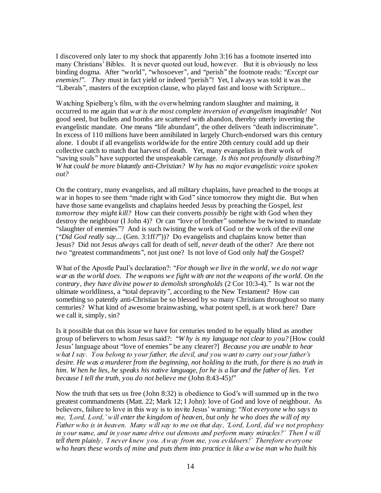I discovered only later to my shock that apparently John 3:16 has a footnote inserted into many Christians' Bibles. It is never quoted out loud, however. But it is obviously no less binding dogma. After "world", "whosoever", and "perish" the footnote reads: "*Except our enemies!*''. *They* must in fact yield or indeed ''perish''! Yet, I always was told it was the ''Liberals'', masters of the exception clause, who played fast and loose with Scripture...

Watching Spielberg's film, with the overwhelming random slaughter and maiming, it occurred to me again that *war is the most complete inversion of evangelism imaginable!* Not good seed, but bullets and bombs are scattered with abandon, thereby utterly inverting the evangelistic mandate. One means ''life abundant'', the other delivers ''death indiscriminate''. In excess of 110 millions have been annihilated in largely Church-endorsed wars this century alone. I doubt if all evangelists worldwide for the entire 20th century could add up their collective catch to match that harvest of death. Yet, many evangelists in their work of ''saving souls'' have supported the unspeakable carnage. *Is this not profoundly disturbing?! W hat could be more blatantly anti-Christian? W hy has no major evangelistic voice spoken out?* 

On the contrary, many evangelists, and all military chaplains, have preached to the troops at war in hopes to see them "made right with God" since tomorrow they might die. But when have those same evangelists and chaplains heeded Jesus by preaching the Gospel, *lest tomorrow they might kill?* How can their converts *possibly* be right with God when they destroy the neighbour (I John 4)? Or can ''love of brother'' somehow be twisted to mandate ''slaughter of enemies''? And is such twisting the work of God or the work of the evil one (''*Did God really say...* (Gen. 3:1ff*?*''))? Do evangelists and chaplains know better than Jesus? Did not Jesus *always* call for death of self, *never* death of the other? Are there not *two* ''greatest commandments'', not just one? Is not love of God only *half* the Gospel?

What of the Apostle Paul's declaration?: "*For though we live in the world, we do not wage war as the world does. The weapons we fight with are not the weapons of the world. On the contrary, they have divine power to demolish strongholds* (2 Cor 10:3-4)*.*'' Is war not the ultimate worldliness, a ''total depravity'', according to the New Testament? How can something so patently anti-Christian be so blessed by so many Christians throughout so many centuries? What kind of awesome brainwashing, what potent spell, is at work here? Dare we call it, simply, sin?

Is it possible that on this issue we have for centuries tended to be equally blind as another group of believers to whom Jesus said?: ''*W hy is my language not clear to you?* [How could Jesus' language about ''love of enemies'' be any clearer?] *Because you are unable to hear what I say. Y ou belong to your father, the devil, and you want to carry out your father's desire. He was a murderer from the beginning, not holding to the truth, for there is no truth in him. W hen he lies, he speaks his native language, for he is a liar and the father of lies. Y et because I tell the truth, you do not believe me* (John 8:43-45)*!*''

Now the truth that sets us free (John 8:32) is obedience to God's will summed up in the two greatest commandments (Matt. 22; Mark 12; I John): love of God and love of neighbour. As believers, failure to love in this way is to invite Jesus' warning: ''*Not everyone who says to me, 'Lord, Lord,' will enter the kingdom of heaven, but only he who does the will of my Father who is in heaven. Many will say to me on that day, 'Lord, Lord, did we not prophesy in your name, and in your name drive out demons and perform many miracles?' Then I will tell them plainly, 'I never knew you. Away from me, you evildoers!' Therefore everyone who hears these words of mine and puts them into practice is like a wise man who built his*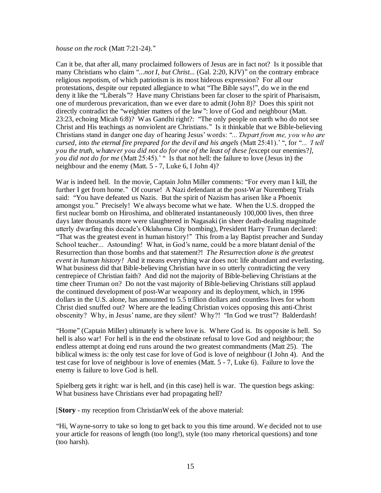#### *house on the rock* (Matt 7:21-24).''

Can it be, that after all, many proclaimed followers of Jesus are in fact not? Is it possible that many Christians who claim "*...not I, but Christ...* (Gal. 2:20, KJV)" on the contrary embrace religious nepotism, of which patriotism is its most hideous expression? For all our protestations, despite our reputed allegiance to what ''The Bible says!'', do we in the end deny it like the "Liberals"? Have many Christians been far closer to the spirit of Pharisaism, one of murderous prevarication, than we ever dare to admit (John 8)? Does this spirit not directly contradict the ''weightier matters of the law'': love of God and neighbour (Matt. 23:23, echoing Micah 6:8)? Was Gandhi right?: ''The only people on earth who do not see Christ and His teachings as nonviolent are Christians.'' Is it thinkable that we Bible-believing Christians stand in danger one day of hearing Jesus' words: ''*...'Depart from me, you who are cursed, into the eternal fire prepared for the devil and his angels* (Matt 25:41).' '', for ''*... 'I tell you the truth, whatever you did not do for one of the least of these [*except our enemies?*], you did not do for me* (Matt 25:45).' " Is that not hell: the failure to love (Jesus in) the neighbour and the enemy (Matt. 5 - 7, Luke 6, I John 4)?

War is indeed hell. In the movie, Captain John Miller comments: "For every man I kill, the further I get from home." Of course! A Nazi defendant at the post-War Nuremberg Trials said: ''You have defeated us Nazis. But the spirit of Nazism has arisen like a Phoenix amongst you.'' Precisely! We always become what we hate. When the U.S. dropped the first nuclear bomb on Hiroshima, and obliterated instantaneously 100,000 lives, then three days later thousands more were slaughtered in Nagasaki (in sheer death-dealing magnitude utterly dwarfing this decade's Oklahoma City bombing), President Harry Truman declared: ''That was the greatest event in human history!'' This from a lay Baptist preacher and Sunday School teacher... Astounding! What, in God's name, could be a more blatant denial of the Resurrection than those bombs and that statement?! *The Resurrection alone is the greatest event in human history!* And it means everything war does not: life abundant and everlasting. What business did that Bible-believing Christian have in so utterly contradicting the very centrepiece of Christian faith? And did not the majority of Bible-believing Christians at the time cheer Truman on? Do not the vast majority of Bible-believing Christians still applaud the continued development of post-War weaponry and its deployment, which, in 1996 dollars in the U.S. alone, has amounted to 5.5 trillion dollars and countless lives for whom Christ died snuffed out? Where are the leading Christian voices opposing this anti-Christ obscenity? Why, in Jesus' name, are they silent? Why?! "In God we trust"? Balderdash!

''Home'' (Captain Miller) ultimately is where love is. Where God is. Its opposite is hell. So hell is also war! For hell is in the end the obstinate refusal to love God and neighbour; the endless attempt at doing end runs around the two greatest commandments (Matt 25). The biblical witness is: the only test case for love of God is love of neighbour (I John 4). And the test case for love of neighbour is love of enemies (Matt. 5 - 7, Luke 6). Failure to love the enemy is failure to love God is hell.

Spielberg gets it right: war is hell, and (in this case) hell is war. The question begs asking: What business have Christians ever had propagating hell?

[**Story** - my reception from ChristianWeek of the above material:

''Hi, Wayne-sorry to take so long to get back to you this time around. We decided not to use your article for reasons of length (too long!), style (too many rhetorical questions) and tone (too harsh).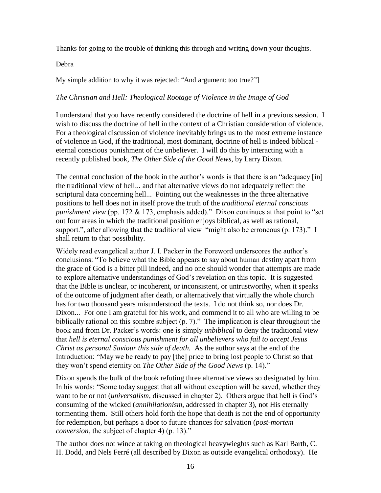Thanks for going to the trouble of thinking this through and writing down your thoughts.

Debra

My simple addition to why it was rejected: "And argument: too true?"

# *The Christian and Hell: Theological Rootage of Violence in the Image of God*

I understand that you have recently considered the doctrine of hell in a previous session. I wish to discuss the doctrine of hell in the context of a Christian consideration of violence. For a theological discussion of violence inevitably brings us to the most extreme instance of violence in God, if the traditional, most dominant, doctrine of hell is indeed biblical eternal conscious punishment of the unbeliever. I will do this by interacting with a recently published book, *The Other Side of the Good News*, by Larry Dixon.

The central conclusion of the book in the author's words is that there is an "adequacy [in] the traditional view of hell... and that alternative views do not adequately reflect the scriptural data concerning hell... Pointing out the weaknesses in the three alternative positions to hell does not in itself prove the truth of the *traditional eternal conscious punishment view* (pp. 172 & 173, emphasis added)." Dixon continues at that point to "set out four areas in which the traditional position enjoys biblical, as well as rational, support.", after allowing that the traditional view "might also be erroneous (p. 173)." I shall return to that possibility.

Widely read evangelical author J. I. Packer in the Foreword underscores the author's conclusions: "To believe what the Bible appears to say about human destiny apart from the grace of God is a bitter pill indeed, and no one should wonder that attempts are made to explore alternative understandings of God's revelation on this topic. It is suggested that the Bible is unclear, or incoherent, or inconsistent, or untrustworthy, when it speaks of the outcome of judgment after death, or alternatively that virtually the whole church has for two thousand years misunderstood the texts. I do not think so, nor does Dr. Dixon... For one I am grateful for his work, and commend it to all who are willing to be biblically rational on this sombre subject (p. 7)." The implication is clear throughout the book and from Dr. Packer's words: one is simply *unbiblical* to deny the traditional view that *hell is eternal conscious punishment for all unbelievers who fail to accept Jesus Christ as personal Saviour this side of death.* As the author says at the end of the Introduction: "May we be ready to pay [the] price to bring lost people to Christ so that they won't spend eternity on *The Other Side of the Good News* (p. 14)."

Dixon spends the bulk of the book refuting three alternative views so designated by him. In his words: "Some today suggest that all without exception will be saved, whether they want to be or not (*universalism,* discussed in chapter 2). Others argue that hell is God's consuming of the wicked (*annihilationism*, addressed in chapter 3), not His eternally tormenting them. Still others hold forth the hope that death is not the end of opportunity for redemption, but perhaps a door to future chances for salvation (*post-mortem conversion*, the subject of chapter 4) (p. 13)."

The author does not wince at taking on theological heavywieghts such as Karl Barth, C. H. Dodd, and Nels Ferré (all described by Dixon as outside evangelical orthodoxy). He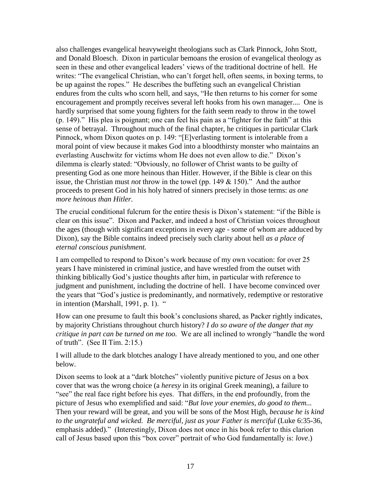also challenges evangelical heavyweight theologians such as Clark Pinnock, John Stott, and Donald Bloesch. Dixon in particular bemoans the erosion of evangelical theology as seen in these and other evangelical leaders' views of the traditional doctrine of hell. He writes: "The evangelical Christian, who can't forget hell, often seems, in boxing terms, to be up against the ropes." He describes the buffeting such an evangelical Christian endures from the cults who scorn hell, and says, "He then returns to his corner for some encouragement and promptly receives several left hooks from his own manager.... One is hardly surprised that some young fighters for the faith seem ready to throw in the towel (p. 149)." His plea is poignant; one can feel his pain as a "fighter for the faith" at this sense of betrayal. Throughout much of the final chapter, he critiques in particular Clark Pinnock, whom Dixon quotes on p. 149: "[E]verlasting torment is intolerable from a moral point of view because it makes God into a bloodthirsty monster who maintains an everlasting Auschwitz for victims whom He does not even allow to die." Dixon's dilemma is clearly stated: "Obviously, no follower of Christ wants to be guilty of presenting God as one more heinous than Hitler. However, if the Bible is clear on this issue, the Christian must *not* throw in the towel (pp. 149 & 150)." And the author proceeds to present God in his holy hatred of sinners precisely in those terms: *as one more heinous than Hitler.*

The crucial conditional fulcrum for the entire thesis is Dixon's statement: "if the Bible is clear on this issue". Dixon and Packer, and indeed a host of Christian voices throughout the ages (though with significant exceptions in every age - some of whom are adduced by Dixon), say the Bible contains indeed precisely such clarity about hell *as a place of eternal conscious punishment.*

I am compelled to respond to Dixon's work because of my own vocation: for over 25 years I have ministered in criminal justice, and have wrestled from the outset with thinking biblically God's justice thoughts after him, in particular with reference to judgment and punishment, including the doctrine of hell. I have become convinced over the years that "God's justice is predominantly, and normatively, redemptive or restorative in intention (Marshall, 1991, p. 1).

How can one presume to fault this book's conclusions shared, as Packer rightly indicates, by majority Christians throughout church history? *I do so aware of the danger that my critique in part can be turned on me too.* We are all inclined to wrongly "handle the word of truth". (See II Tim. 2:15.)

I will allude to the dark blotches analogy I have already mentioned to you, and one other below.

Dixon seems to look at a "dark blotches" violently punitive picture of Jesus on a box cover that was the wrong choice (a *heresy* in its original Greek meaning), a failure to "see" the real face right before his eyes. That differs, in the end profoundly, from the picture of Jesus who exemplified and said: "*But love your enemies, do good to them...*  Then your reward will be great, and you will be sons of the Most High, *because he is kind*  to the ungrateful and wicked. Be merciful, just as your Father is merciful (Luke 6:35-36, emphasis added)." (Interestingly, Dixon does not once in his book refer to this clarion call of Jesus based upon this "box cover" portrait of who God fundamentally is: *love*.)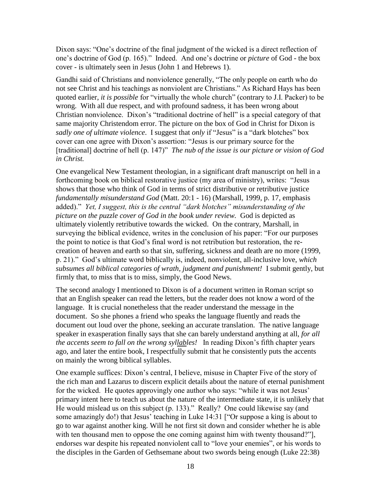Dixon says: "One's doctrine of the final judgment of the wicked is a direct reflection of one's doctrine of God (p. 165)." Indeed. And one's doctrine or *picture* of God - the box cover - is ultimately seen in Jesus (John 1 and Hebrews 1).

Gandhi said of Christians and nonviolence generally, "The only people on earth who do not see Christ and his teachings as nonviolent are Christians." As Richard Hays has been quoted earlier, *it is possible* for "virtually the whole church" (contrary to J.I. Packer) to be wrong. With all due respect, and with profound sadness, it has been wrong about Christian nonviolence. Dixon's "traditional doctrine of hell" is a special category of that same majority Christendom error. The picture on the box of God in Christ for Dixon is *sadly one of ultimate violence*. I suggest that *only* if "Jesus" is a "dark blotches" box cover can one agree with Dixon's assertion: "Jesus is our primary source for the [traditional] doctrine of hell (p. 147)" *The nub of the issue is our picture or vision of God in Christ.*

One evangelical New Testament theologian, in a significant draft manuscript on hell in a forthcoming book on biblical restorative justice (my area of ministry), writes: "Jesus shows that those who think of God in terms of strict distributive or retributive justice *fundamentally misunderstand God* (Matt. 20:1 - 16) (Marshall, 1999, p. 17, emphasis added)." *Yet, I suggest, this is the central "dark blotches" misunderstanding of the picture on the puzzle cover of God in the book under review.* God is depicted as ultimately violently retributive towards the wicked. On the contrary, Marshall, in surveying the biblical evidence, writes in the conclusion of his paper: "For our purposes the point to notice is that God's final word is not retribution but restoration, the recreation of heaven and earth so that sin, suffering, sickness and death are no more (1999, p. 21)." God's ultimate word biblically is, indeed, nonviolent, all-inclusive love, *which subsumes all biblical categories of wrath, judgment and punishment!* I submit gently, but firmly that, to miss that is to miss, simply, the Good News.

The second analogy I mentioned to Dixon is of a document written in Roman script so that an English speaker can read the letters, but the reader does not know a word of the language. It is crucial nonetheless that the reader understand the message in the document. So she phones a friend who speaks the language fluently and reads the document out loud over the phone, seeking an accurate translation. The native language speaker in exasperation finally says that she can barely understand anything at all, *for all the accents seem to fall on the wrong syllables!* In reading Dixon's fifth chapter years ago, and later the entire book, I respectfully submit that he consistently puts the accents on mainly the wrong biblical syllables.

One example suffices: Dixon's central, I believe, misuse in Chapter Five of the story of the rich man and Lazarus to discern explicit details about the nature of eternal punishment for the wicked. He quotes approvingly one author who says: "while it was not Jesus' primary intent here to teach us about the nature of the intermediate state, it is unlikely that He would mislead us on this subject (p. 133)." Really? One could likewise say (and some amazingly do!) that Jesus' teaching in Luke 14:31 ["Or suppose a king is about to go to war against another king. Will he not first sit down and consider whether he is able with ten thousand men to oppose the one coming against him with twenty thousand?"], endorses war despite his repeated nonviolent call to "love your enemies", or his words to the disciples in the Garden of Gethsemane about two swords being enough (Luke 22:38)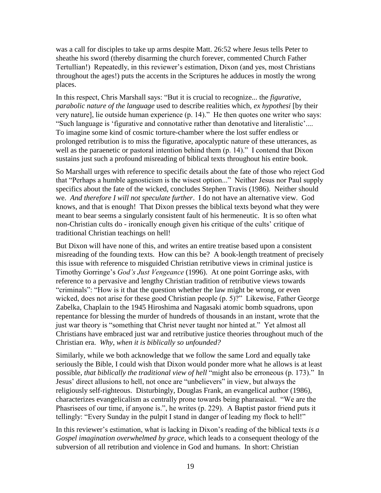was a call for disciples to take up arms despite Matt. 26:52 where Jesus tells Peter to sheathe his sword (thereby disarming the church forever, commented Church Father Tertullian!) Repeatedly, in this reviewer's estimation, Dixon (and yes, most Christians throughout the ages!) puts the accents in the Scriptures he adduces in mostly the wrong places.

In this respect, Chris Marshall says: "But it is crucial to recognize... the *figurative, parabolic nature of the language* used to describe realities which, *ex hypothesi* [by their very nature], lie outside human experience (p. 14)." He then quotes one writer who says: "Such language is 'figurative and connotative rather than denotative and literalistic'.... To imagine some kind of cosmic torture-chamber where the lost suffer endless or prolonged retribution is to miss the figurative, apocalyptic nature of these utterances, as well as the paraenetic or pastoral intention behind them (p. 14)." I contend that Dixon sustains just such a profound misreading of biblical texts throughout his entire book.

So Marshall urges with reference to specific details about the fate of those who reject God that "Perhaps a humble agnosticism is the wisest option..." Neither Jesus nor Paul supply specifics about the fate of the wicked, concludes Stephen Travis (1986). Neither should we. *And therefore I will not speculate further*. I do not have an alternative view. God knows, and that is enough! That Dixon presses the biblical texts beyond what they were meant to bear seems a singularly consistent fault of his hermeneutic. It is so often what non-Christian cults do - ironically enough given his critique of the cults' critique of traditional Christian teachings on hell!

But Dixon will have none of this, and writes an entire treatise based upon a consistent misreading of the founding texts. How can this be? A book-length treatment of precisely this issue with reference to misguided Christian retributive views in criminal justice is Timothy Gorringe's *God's Just Vengeance* (1996). At one point Gorringe asks, with reference to a pervasive and lengthy Christian tradition of retributive views towards "criminals": "How is it that the question whether the law might be wrong, or even wicked, does not arise for these good Christian people (p. 5)?" Likewise, Father George Zabelka, Chaplain to the 1945 Hiroshima and Nagasaki atomic bomb squadrons, upon repentance for blessing the murder of hundreds of thousands in an instant, wrote that the just war theory is "something that Christ never taught nor hinted at." Yet almost all Christians have embraced just war and retributive justice theories throughout much of the Christian era. *Why, when it is biblically so unfounded?*

Similarly, while we both acknowledge that we follow the same Lord and equally take seriously the Bible, I could wish that Dixon would ponder more what he allows is at least possible, *that biblically the traditional view of hell* "might also be erroneous (p. 173)."In Jesus' direct allusions to hell, not once are "unbelievers" in view, but always the religiously self-righteous. Disturbingly, Douglas Frank, an evangelical author (1986), characterizes evangelicalism as centrally prone towards being pharasaical. "We are the Phasrisees of our time, if anyone is.", he writes (p. 229). A Baptist pastor friend puts it tellingly: "Every Sunday in the pulpit I stand in danger of leading my flock to hell!"

In this reviewer's estimation, what is lacking in Dixon's reading of the biblical texts *is a Gospel imagination overwhelmed by grace*, which leads to a consequent theology of the subversion of all retribution and violence in God and humans. In short: Christian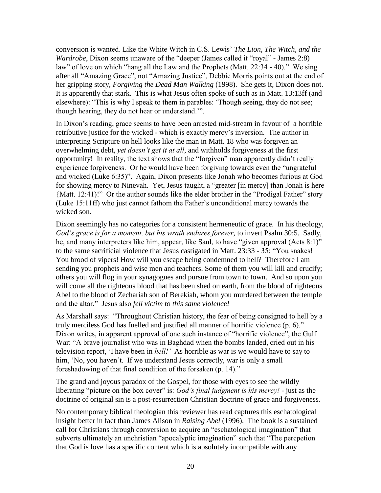conversion is wanted. Like the White Witch in C.S. Lewis' *The Lion, The Witch, and the Wardrobe*, Dixon seems unaware of the "deeper (James called it "royal" - James 2:8) law" of love on which "hang all the Law and the Prophets (Matt. 22:34 - 40)." We sing after all "Amazing Grace", not "Amazing Justice", Debbie Morris points out at the end of her gripping story, *Forgiving the Dead Man Walking* (1998). She gets it, Dixon does not. It is apparently that stark. This is what Jesus often spoke of such as in Matt. 13:13ff (and elsewhere): "This is why I speak to them in parables: 'Though seeing, they do not see; though hearing, they do not hear or understand.'".

In Dixon's reading, grace seems to have been arrested mid-stream in favour of a horrible retributive justice for the wicked - which is exactly mercy's inversion. The author in interpreting Scripture on hell looks like the man in Matt. 18 who was forgiven an overwhelming debt, *yet doesn't get it at all*, and withholds forgiveness at the first opportunity! In reality, the text shows that the "forgiven" man apparently didn't really experience forgiveness. Or he would have been forgiving towards even the "ungrateful and wicked (Luke 6:35)". Again, Dixon presents like Jonah who becomes furious at God for showing mercy to Ninevah. Yet, Jesus taught, a "greater [in mercy] than Jonah is here {Matt. 12:41)!" Or the author sounds like the elder brother in the "Prodigal Father" story (Luke 15:11ff) who just cannot fathom the Father's unconditional mercy towards the wicked son.

Dixon seemingly has no categories for a consistent hermeneutic of grace. In his theology, *God's grace is for a moment, but his wrath endures forever*, to invert Psalm 30:5. Sadly, he, and many interpreters like him, appear, like Saul, to have "given approval (Acts 8:1)" to the same sacrificial violence that Jesus castigated in Matt. 23:33 - 35: "You snakes! You brood of vipers! How will you escape being condemned to hell? Therefore I am sending you prophets and wise men and teachers. Some of them you will kill and crucify; others you will flog in your synagogues and pursue from town to town. And so upon you will come all the righteous blood that has been shed on earth, from the blood of righteous Abel to the blood of Zechariah son of Berekiah, whom you murdered between the temple and the altar." Jesus also *fell victim to this same violence!*

As Marshall says: "Throughout Christian history, the fear of being consigned to hell by a truly merciless God has fuelled and justified all manner of horrific violence (p. 6)." Dixon writes, in apparent approval of one such instance of "horrific violence", the Gulf War: "A brave journalist who was in Baghdad when the bombs landed, cried out in his television report, 'I have been in *hell!'* As horrible as war is we would have to say to him, 'No, you haven't. If we understand Jesus correctly, war is only a small foreshadowing of that final condition of the forsaken (p. 14)."

The grand and joyous paradox of the Gospel, for those with eyes to see the wildly liberating "picture on the box cover" is: *God's final judgment is his mercy!* - just as the doctrine of original sin is a post-resurrection Christian doctrine of grace and forgiveness.

No contemporary biblical theologian this reviewer has read captures this eschatological insight better in fact than James Alison in *Raising Abel* (1996). The book is a sustained call for Christians through conversion to acquire an "eschatological imagination" that subverts ultimately an unchristian "apocalyptic imagination" such that "The percpetion that God is love has a specific content which is absolutely incompatible with any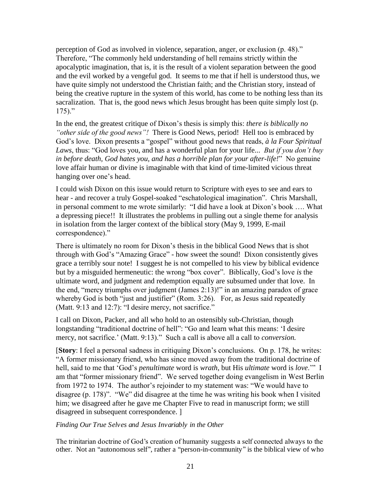perception of God as involved in violence, separation, anger, or exclusion (p. 48)." Therefore, "The commonly held understanding of hell remains strictly within the apocalyptic imagination, that is, it is the result of a violent separation between the good and the evil worked by a vengeful god. It seems to me that if hell is understood thus, we have quite simply not understood the Christian faith; and the Christian story, instead of being the creative rupture in the system of this world, has come to be nothing less than its sacralization. That is, the good news which Jesus brought has been quite simply lost (p.  $175$ )."

In the end, the greatest critique of Dixon's thesis is simply this: *there is biblically no "other side of the good news"!* There is Good News, period! Hell too is embraced by God's love. Dixon presents a "gospel" without good news that reads, *à la Four Spiritual Laws*, thus: "God loves you, and has a wonderful plan for your life... *But if you don't buy in before death, God hates you, and has a horrible plan for your after-life!*" No genuine love affair human or divine is imaginable with that kind of time-limited vicious threat hanging over one's head.

I could wish Dixon on this issue would return to Scripture with eyes to see and ears to hear - and recover a truly Gospel-soaked "eschatological imagination". Chris Marshall, in personal comment to me wrote similarly: "I did have a look at Dixon's book …. What a depressing piece!! It illustrates the problems in pulling out a single theme for analysis in isolation from the larger context of the biblical story (May 9, 1999, E-mail correspondence)."

There is ultimately no room for Dixon's thesis in the biblical Good News that is shot through with God's "Amazing Grace" - how sweet the sound! Dixon consistently gives grace a terribly sour note! I suggest he is not compelled to his view by biblical evidence but by a misguided hermeneutic: the wrong "box cover". Biblically, God's love *is* the ultimate word, and judgment and redemption equally are subsumed under that love. In the end, "mercy triumphs over judgment (James 2:13)!" in an amazing paradox of grace whereby God is both "just and justifier" (Rom. 3:26). For, as Jesus said repeatedly (Matt. 9:13 and 12:7): "I desire mercy, not sacrifice."

I call on Dixon, Packer, and all who hold to an ostensibly sub-Christian, though longstanding "traditional doctrine of hell": "Go and learn what this means: 'I desire mercy, not sacrifice.' (Matt. 9:13)." Such a call is above all a call to *conversion.* 

[**Story**: I feel a personal sadness in critiquing Dixon's conclusions. On p. 178, he writes: "A former missionary friend, who has since moved away from the traditional doctrine of hell, said to me that 'God's *penultimate* word is *wrath*, but His *ultimate* word is *love*.'" I am that "former missionary friend". We served together doing evangelism in West Berlin from 1972 to 1974. The author's rejoinder to my statement was: "We would have to disagree (p. 178)". "We" did disagree at the time he was writing his book when I visited him; we disagreed after he gave me Chapter Five to read in manuscript form; we still disagreed in subsequent correspondence. ]

# *Finding Our True Selves and Jesus Invariably in the Other*

The trinitarian doctrine of God's creation of humanity suggests a self connected always to the other. Not an "autonomous self", rather a "person-in-community" is the biblical view of who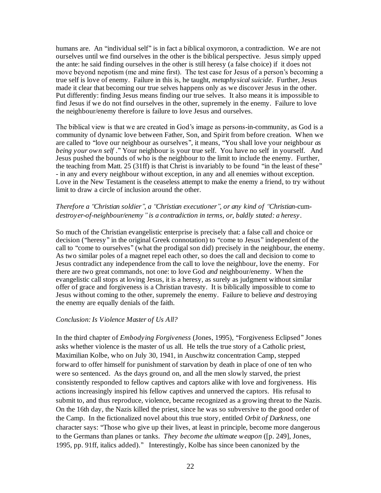humans are. An ''individual self'' is in fact a biblical oxymoron, a contradiction. We are not ourselves until we find ourselves in the other is the biblical perspective. Jesus simply upped the ante: he said finding ourselves in the other is still heresy (a false choice) if it does not move beyond nepotism (me and mine first). The test case for Jesus of a person's becoming a true self is love of enemy. Failure in this is, he taught, *metaphysical suicide*. Further, Jesus made it clear that becoming our true selves happens only as we discover Jesus in the other. Put differently: finding Jesus means finding our true selves. It also means it is impossible to find Jesus if we do not find ourselves in the other, supremely in the enemy. Failure to love the neighbour/enemy therefore is failure to love Jesus and ourselves.

The biblical view is that we are created in God's image as persons-in-community, as God is a community of dynamic love between Father, Son, and Spirit from before creation. When we are called to ''love our neighbour as ourselves'', it means, ''You shall love your neighbour *as being your own self* .'' Your neighbour is your true self. You have no self in yourself. And Jesus pushed the bounds of who is the neighbour to the limit to include the enemy. Further, the teaching from Matt. 25 (31ff) is that Christ is invariably to be found ''in the least of these'' - in any and every neighbour without exception, in any and all enemies without exception. Love in the New Testament is the ceaseless attempt to make the enemy a friend, to try without limit to draw a circle of inclusion around the other.

# *Therefore a ''Christian soldier'', a ''Christian executioner'', or any kind of ''Christian-*cum*destroyer-of-neighbour/enemy'' is a contradiction in terms, or, baldly stated: a heresy*.

So much of the Christian evangelistic enterprise is precisely that: a false call and choice or decision ("heresy" in the original Greek connotation) to "come to Jesus" independent of the call to "come to ourselves" (what the prodigal son did) precisely in the neighbour, the enemy. As two similar poles of a magnet repel each other, so does the call and decision to come to Jesus contradict any independence from the call to love the neighbour, love the enemy. For there are two great commands, not one: to love God *and* neighbour/enemy. When the evangelistic call stops at loving Jesus, it is a heresy, as surely as judgment without similar offer of grace and forgiveness is a Christian travesty. It is biblically impossible to come to Jesus without coming to the other, supremely the enemy. Failure to believe *and* destroying the enemy are equally denials of the faith.

#### *Conclusion: Is Violence Master of Us All?*

In the third chapter of *Embodying Forgiveness* (Jones, 1995), ''Forgiveness Eclipsed'' Jones asks whether violence is the master of us all. He tells the true story of a Catholic priest, Maximilian Kolbe, who on July 30, 1941, in Auschwitz concentration Camp, stepped forward to offer himself for punishment of starvation by death in place of one of ten who were so sentenced. As the days ground on, and all the men slowly starved, the priest consistently responded to fellow captives and captors alike with love and forgiveness. His actions increasingly inspired his fellow captives and unnerved the captors. His refusal to submit to, and thus reproduce, violence, became recognized as a growing threat to the Nazis. On the 16th day, the Nazis killed the priest, since he was so subversive to the good order of the Camp. In the fictionalized novel about this true story, entitled *Orbit of Darkness*, one character says: ''Those who give up their lives, at least in principle, become more dangerous to the Germans than planes or tanks. *They become the ultimate weapon* ([p. 249], Jones*,*  1995, pp. 91ff, italics added).'' Interestingly, Kolbe has since been canonized by the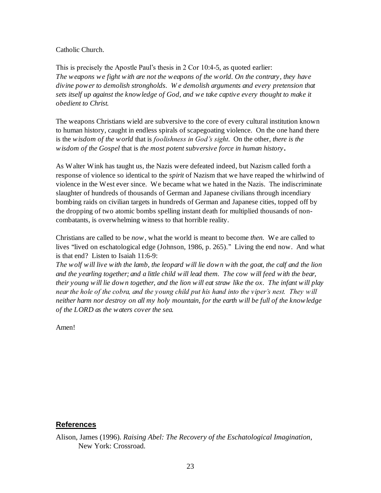### Catholic Church.

This is precisely the Apostle Paul's thesis in 2 Cor 10:4-5, as quoted earlier: *The weapons we fight with are not the weapons of the world. On the contrary, they have divine power to demolish strongholds. W e demolish arguments and every pretension that sets itself up against the knowledge of God, and we take captive every thought to make it obedient to Christ.* 

The weapons Christians wield are subversive to the core of every cultural institution known to human history, caught in endless spirals of scapegoating violence. On the one hand there is the *wisdom of the world* that is *foolishness in God's sight*. On the other, *there is the wisdom of the Gospel* that is *the most potent subversive force in human history***.**

As Walter Wink has taught us, the Nazis were defeated indeed, but Nazism called forth a response of violence so identical to the *spirit* of Nazism that we have reaped the whirlwind of violence in the West ever since. We became what we hated in the Nazis. The indiscriminate slaughter of hundreds of thousands of German and Japanese civilians through incendiary bombing raids on civilian targets in hundreds of German and Japanese cities, topped off by the dropping of two atomic bombs spelling instant death for multiplied thousands of noncombatants, is overwhelming witness to that horrible reality.

Christians are called to be *now*, what the world is meant to become *then.* We are called to lives "lived on eschatological edge (Johnson, 1986, p. 265)." Living the end now. And what is that end? Listen to Isaiah 11:6-9:

*The wolf will live with the lamb, the leopard will lie down with the goat, the calf and the lion and the yearling together; and a little child will lead them. The cow will feed with the bear, their young will lie down together, and the lion will eat straw like the ox. The infant will play near the hole of the cobra, and the young child put his hand into the viper's nest. They will neither harm nor destroy on all my holy mountain, for the earth will be full of the knowledge of the LORD as the waters cover the sea.*

Amen!

# **References**

Alison, James (1996). *Raising Abel: The Recovery of the Eschatological Imagination*, New York: Crossroad.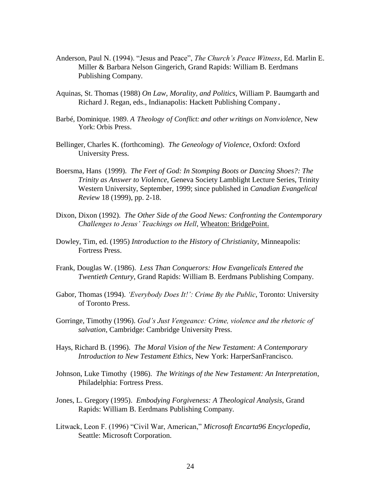- Anderson, Paul N. (1994). "Jesus and Peace", *The Church's Peace Witness*, Ed. Marlin E. Miller & Barbara Nelson Gingerich, Grand Rapids: William B. Eerdmans Publishing Company.
- Aquinas, St. Thomas (1988) *On Law, Morality, and Politics*, William P. Baumgarth and Richard J. Regan, eds., Indianapolis: Hackett Publishing Company.
- Barbé, Dominique. 1989. *A Theology of Conflict: and other writings on Nonviolence*, New York: Orbis Press.
- Bellinger, Charles K. (forthcoming). *The Geneology of Violence*, Oxford: Oxford University Press.
- Boersma, Hans (1999). *The Feet of God: In Stomping Boots or Dancing Shoes?: The Trinity as Answer to Violence*, Geneva Society Lamblight Lecture Series, Trinity Western University, September, 1999; since published in *Canadian Evangelical Review* 18 (1999), pp. 2-18.
- Dixon, Dixon (1992). *The Other Side of the Good News: Confronting the Contemporary Challenges to Jesus' Teachings on Hell*, Wheaton: BridgePoint.
- Dowley, Tim, ed. (1995) *Introduction to the History of Christianity*, Minneapolis: Fortress Press.
- Frank, Douglas W. (1986). *Less Than Conquerors: How Evangelicals Entered the Twentieth Century*, Grand Rapids: William B. Eerdmans Publishing Company.
- Gabor, Thomas (1994). *'Everybody Does It!': Crime By the Public*, Toronto: University of Toronto Press.
- Gorringe, Timothy (1996). *God's Just Vengeance: Crime, violence and the rhetoric of salvation*, Cambridge: Cambridge University Press.
- Hays, Richard B. (1996). *The Moral Vision of the New Testament: A Contemporary Introduction to New Testament Ethics*, New York: HarperSanFrancisco.
- Johnson, Luke Timothy (1986). *The Writings of the New Testament: An Interpretation*, Philadelphia: Fortress Press.
- Jones, L. Gregory (1995). *Embodying Forgiveness: A Theological Analysis*, Grand Rapids: William B. Eerdmans Publishing Company.
- Litwack, Leon F. (1996) "Civil War, American," *Microsoft Encarta96 Encyclopedia*, Seattle: Microsoft Corporation.